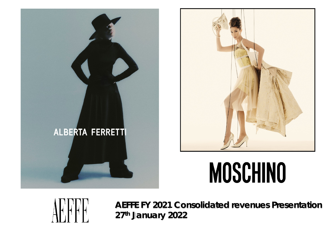



# **MOSCHINO**



**AEFFE FY 2021 Consolidated revenues Presentation 27th January 2022**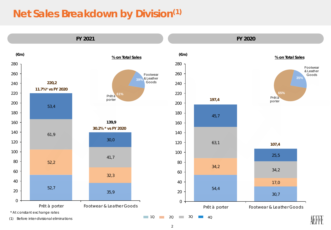## **Net Sales Breakdown by Division***(1)*

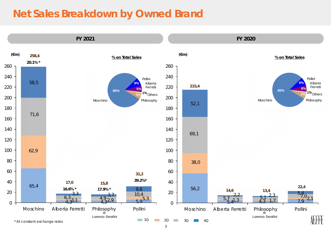#### **Net Sales Breakdown by Owned Brand**

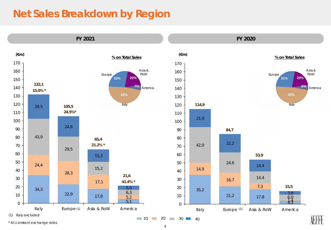## **Net Sales Breakdown by Region**

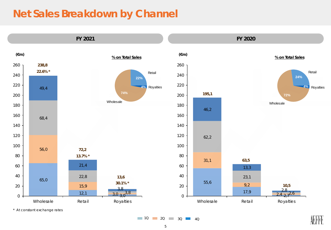## **Net Sales Breakdown by Channel**



*\* At constant exchange rates*

10 2Q 3Q 4Q